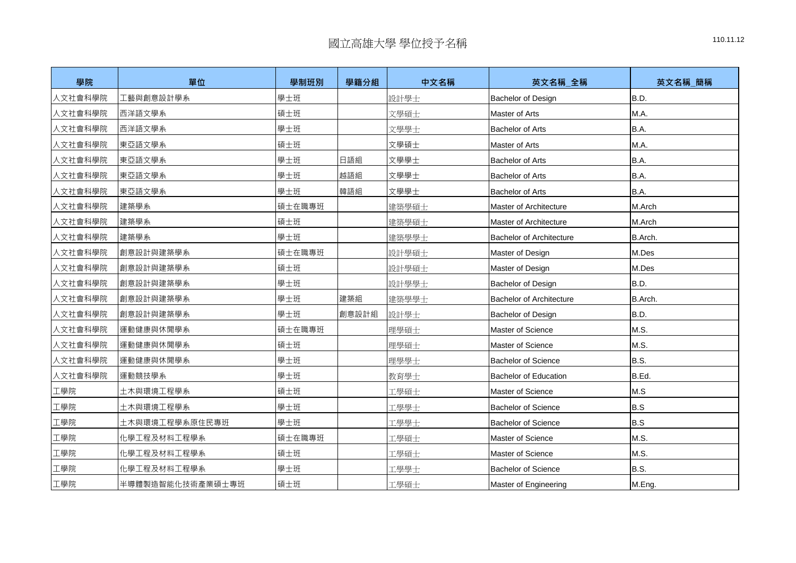| 學院      | 單位               | 學制班別   | 學籍分組  | 中文名稱  | 英文名稱_全稱                         | 英文名稱_簡稱 |
|---------|------------------|--------|-------|-------|---------------------------------|---------|
| 人文社會科學院 | 工藝與創意設計學系        | 學士班    |       | 設計學士  | <b>Bachelor of Design</b>       | B.D.    |
| 人文社會科學院 | 西洋語文學系           | 碩士班    |       | 文學碩士  | <b>Master of Arts</b>           | M.A.    |
| 人文社會科學院 | 西洋語文學系           | 學士班    |       | 文學學士  | <b>Bachelor of Arts</b>         | B.A.    |
| 人文社會科學院 | 東亞語文學系           | 碩士班    |       | 文學碩士  | Master of Arts                  | M.A.    |
| 人文社會科學院 | 東亞語文學系           | 學士班    | 日語組   | 文學學士  | <b>Bachelor of Arts</b>         | B.A.    |
| 人文社會科學院 | 東亞語文學系           | 學士班    | 越語組   | 文學學士  | <b>Bachelor of Arts</b>         | B.A.    |
| 人文社會科學院 | 東亞語文學系           | 學士班    | 韓語組   | 文學學士  | <b>Bachelor of Arts</b>         | B.A.    |
| 人文社會科學院 | 建築學系             | 碩士在職專班 |       | 建築學碩士 | Master of Architecture          | M.Arch  |
| 人文社會科學院 | 建築學系             | 碩士班    |       | 建築學碩士 | Master of Architecture          | M.Arch  |
| 人文社會科學院 | 建築學系             | 學士班    |       | 建築學學士 | <b>Bachelor of Architecture</b> | B.Arch. |
| 人文社會科學院 | 創意設計與建築學系        | 碩士在職專班 |       | 設計學碩士 | Master of Design                | M.Des   |
| 人文社會科學院 | 創意設計與建築學系        | 碩士班    |       | 設計學碩士 | Master of Design                | M.Des   |
| 人文社會科學院 | 創意設計與建築學系        | 學士班    |       | 設計學學士 | <b>Bachelor of Design</b>       | B.D.    |
| 人文社會科學院 | 創意設計與建築學系        | 學士班    | 建築組   | 建築學學士 | <b>Bachelor of Architecture</b> | B.Arch. |
| 人文社會科學院 | 創意設計與建築學系        | 學士班    | 創意設計組 | 設計學士  | <b>Bachelor of Design</b>       | B.D.    |
| 人文社會科學院 | 運動健康與休閒學系        | 碩士在職專班 |       | 理學碩士  | Master of Science               | M.S.    |
| 人文社會科學院 | 運動健康與休閒學系        | 碩士班    |       | 理學碩士  | Master of Science               | M.S.    |
| 人文社會科學院 | 運動健康與休閒學系        | 學士班    |       | 理學學士  | <b>Bachelor of Science</b>      | B.S.    |
| 人文社會科學院 | 運動競技學系           | 學士班    |       | 教育學士  | <b>Bachelor of Education</b>    | B.Ed.   |
| 工學院     | 土木與環境工程學系        | 碩士班    |       | 工學碩士  | Master of Science               | M.S     |
| 工學院     | 土木與環境工程學系        | 學士班    |       | 工學學士  | <b>Bachelor of Science</b>      | B.S     |
| 工學院     | 土木與環境工程學系原住民專班   | 學士班    |       | 工學學士  | <b>Bachelor of Science</b>      | B.S     |
| 工學院     | 化學工程及材料工程學系      | 碩士在職專班 |       | 工學碩士  | Master of Science               | M.S.    |
| 工學院     | 化學工程及材料工程學系      | 碩士班    |       | 工學碩士  | Master of Science               | M.S.    |
| 工學院     | 化學工程及材料工程學系      | 學士班    |       | 工學學士  | <b>Bachelor of Science</b>      | B.S.    |
| 工學院     | 半導體製造智能化技術產業碩士專班 | 碩士班    |       | 工學碩士  | Master of Engineering           | M.Eng.  |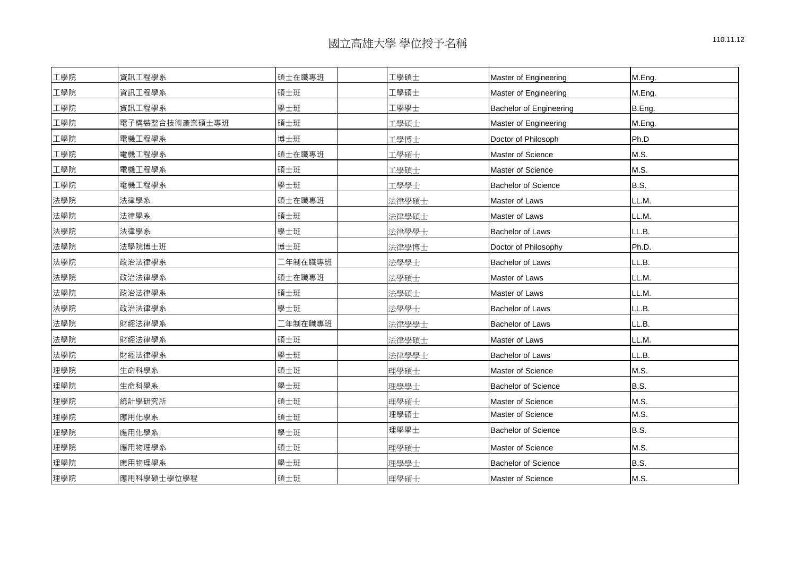| 工學院 | 資訊工程學系         | 碩士在職專班   | [學碩士  | <b>Master of Engineering</b>   | M.Eng.      |
|-----|----------------|----------|-------|--------------------------------|-------------|
| 工學院 | 資訊工程學系         | 碩士班      | Ⅰ學碩士  | <b>Master of Engineering</b>   | M.Eng.      |
| 工學院 | 資訊工程學系         | 學士班      | 工學學士  | <b>Bachelor of Engineering</b> | B.Eng.      |
| 工學院 | 電子構裝整合技術產業碩士專班 | 碩士班      | 工學碩士  | <b>Master of Engineering</b>   | M.Eng.      |
| 工學院 | 電機工程學系         | 博士班      | 工學博士  | Doctor of Philosoph            | Ph.D        |
| 工學院 | 電機工程學系         | 碩士在職專班   | 工學碩士  | Master of Science              | M.S.        |
| 工學院 | 電機工程學系         | 碩士班      | 工學碩士  | Master of Science              | M.S.        |
| 工學院 | 電機工程學系         | 學士班      | 工學學士  | <b>Bachelor of Science</b>     | B.S.        |
| 法學院 | 法律學系           | 碩士在職專班   | 法律學碩士 | Master of Laws                 | LL.M.       |
| 法學院 | 法律學系           | 碩士班      | 法律學碩士 | Master of Laws                 | LL.M.       |
| 法學院 | 法律學系           | 學士班      | 法律學學士 | <b>Bachelor of Laws</b>        | LL.B.       |
| 法學院 | 法學院博士班         | 博士班      | 法律學博士 | Doctor of Philosophy           | Ph.D.       |
| 法學院 | 政治法律學系         | - 年制在職專班 | 法學學士  | <b>Bachelor of Laws</b>        | LL.B.       |
| 法學院 | 政治法律學系         | 碩士在職專班   | 法學碩士  | Master of Laws                 | LL.M.       |
| 法學院 | 政治法律學系         | 碩士班      | 法學碩士  | Master of Laws                 | LL.M.       |
| 法學院 | 政治法律學系         | 學士班      | 法學學士  | <b>Bachelor of Laws</b>        | LL.B.       |
| 法學院 | 財經法律學系         | □年制在職專班  | 法律學學士 | <b>Bachelor of Laws</b>        | LL.B.       |
| 法學院 | 財經法律學系         | 碩士班      | 法律學碩士 | Master of Laws                 | LL.M.       |
| 法學院 | 財經法律學系         | 學士班      | 法律學學士 | <b>Bachelor of Laws</b>        | LL.B.       |
| 理學院 | 生命科學系          | 碩士班      | 理學碩士  | Master of Science              | M.S.        |
| 理學院 | 生命科學系          | 學士班      | 理學學士  | <b>Bachelor of Science</b>     | <b>B.S.</b> |
| 理學院 | 統計學研究所         | 碩士班      | 理學碩士  | Master of Science              | M.S.        |
| 理學院 | 應用化學系          | 碩士班      | 理學碩士  | Master of Science              | M.S.        |
| 理學院 | 應用化學系          | 學士班      | 理學學士  | <b>Bachelor of Science</b>     | B.S.        |
| 理學院 | 應用物理學系         | 碩士班      | 理學碩士  | Master of Science              | M.S.        |
| 理學院 | 應用物理學系         | 學士班      | 理學學士  | <b>Bachelor of Science</b>     | B.S.        |
| 理學院 | 應用科學碩士學位學程     | 碩士班      | 理學碩士  | Master of Science              | M.S.        |